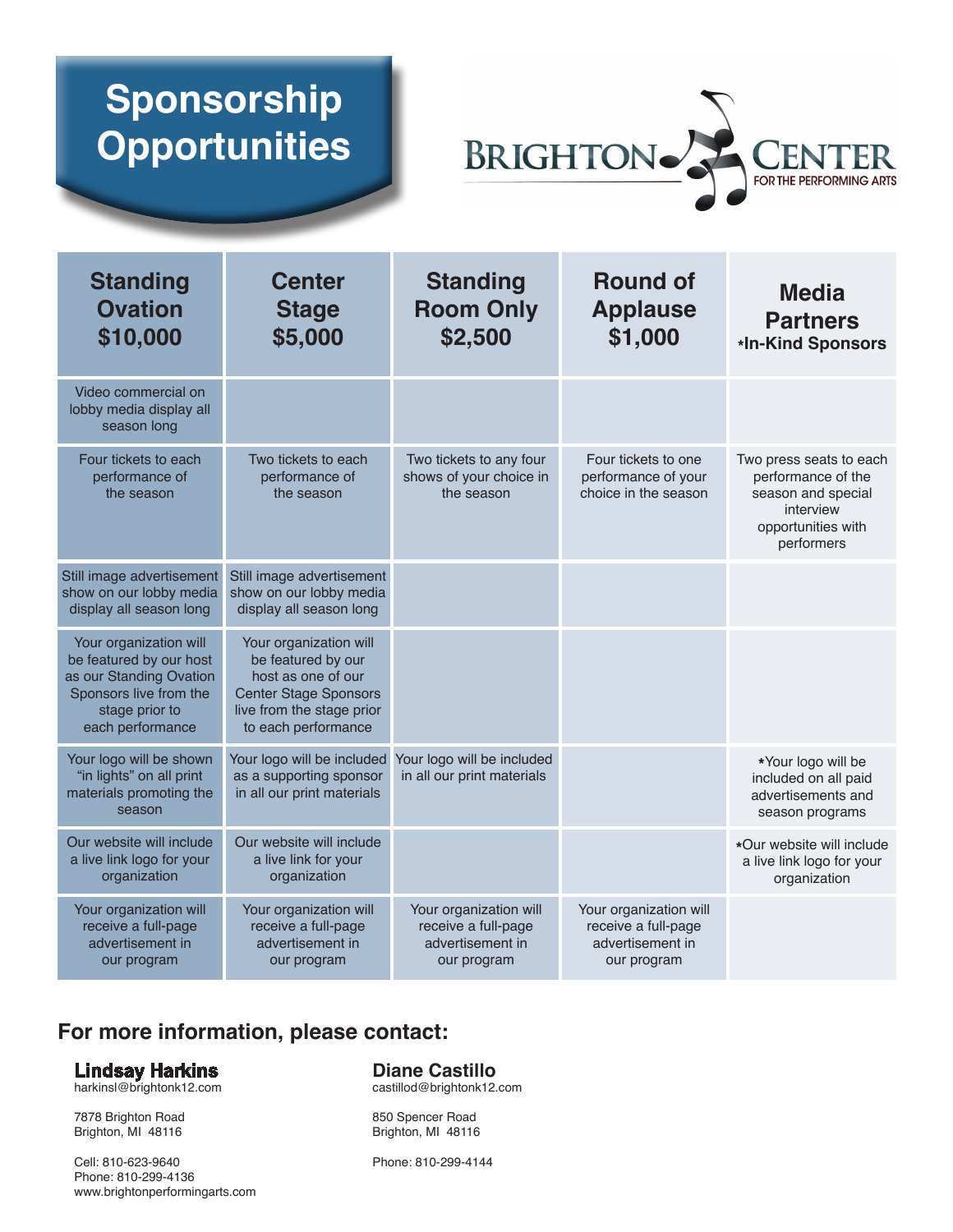# **Sponsorship Opportunities**



| <b>Standing</b><br><b>Ovation</b><br>\$10,000                                                                                                | <b>Center</b><br><b>Stage</b><br>\$5,000                                                                                                               | <b>Standing</b><br><b>Room Only</b><br>\$2,500                                   | <b>Round of</b><br><b>Applause</b><br>\$1,000                                    | <b>Media</b><br><b>Partners</b><br>*In-Kind Sponsors                                                                 |
|----------------------------------------------------------------------------------------------------------------------------------------------|--------------------------------------------------------------------------------------------------------------------------------------------------------|----------------------------------------------------------------------------------|----------------------------------------------------------------------------------|----------------------------------------------------------------------------------------------------------------------|
| Video commercial on<br>lobby media display all<br>season long                                                                                |                                                                                                                                                        |                                                                                  |                                                                                  |                                                                                                                      |
| Four tickets to each<br>performance of<br>the season                                                                                         | Two tickets to each<br>performance of<br>the season                                                                                                    | Two tickets to any four<br>shows of your choice in<br>the season                 | Four tickets to one<br>performance of your<br>choice in the season               | Two press seats to each<br>performance of the<br>season and special<br>interview<br>opportunities with<br>performers |
| Still image advertisement<br>show on our lobby media<br>display all season long                                                              | Still image advertisement<br>show on our lobby media<br>display all season long                                                                        |                                                                                  |                                                                                  |                                                                                                                      |
| Your organization will<br>be featured by our host<br>as our Standing Ovation<br>Sponsors live from the<br>stage prior to<br>each performance | Your organization will<br>be featured by our<br>host as one of our<br><b>Center Stage Sponsors</b><br>live from the stage prior<br>to each performance |                                                                                  |                                                                                  |                                                                                                                      |
| Your logo will be shown<br>"in lights" on all print<br>materials promoting the<br>season                                                     | Your logo will be included<br>as a supporting sponsor<br>in all our print materials                                                                    | Your logo will be included<br>in all our print materials                         |                                                                                  | *Your logo will be<br>included on all paid<br>advertisements and<br>season programs                                  |
| Our website will include<br>a live link logo for your<br>organization                                                                        | Our website will include<br>a live link for your<br>organization                                                                                       |                                                                                  |                                                                                  | *Our website will include<br>a live link logo for your<br>organization                                               |
| Your organization will<br>receive a full-page<br>advertisement in<br>our program                                                             | Your organization will<br>receive a full-page<br>advertisement in<br>our program                                                                       | Your organization will<br>receive a full-page<br>advertisement in<br>our program | Your organization will<br>receive a full-page<br>advertisement in<br>our program |                                                                                                                      |

## **For more information, please contact:**

#### **Lindsay Harkins**

harkinsl@brightonk12.com

7878 Brighton Road Brighton, MI 48116

Cell: 810-623-9640 Phone: 810-299-4136 www.brightonperformingarts.com

#### **Diane Castillo**

castillod@brightonk12.com

850 Spencer Road Brighton, MI 48116

Phone: 810-299-4144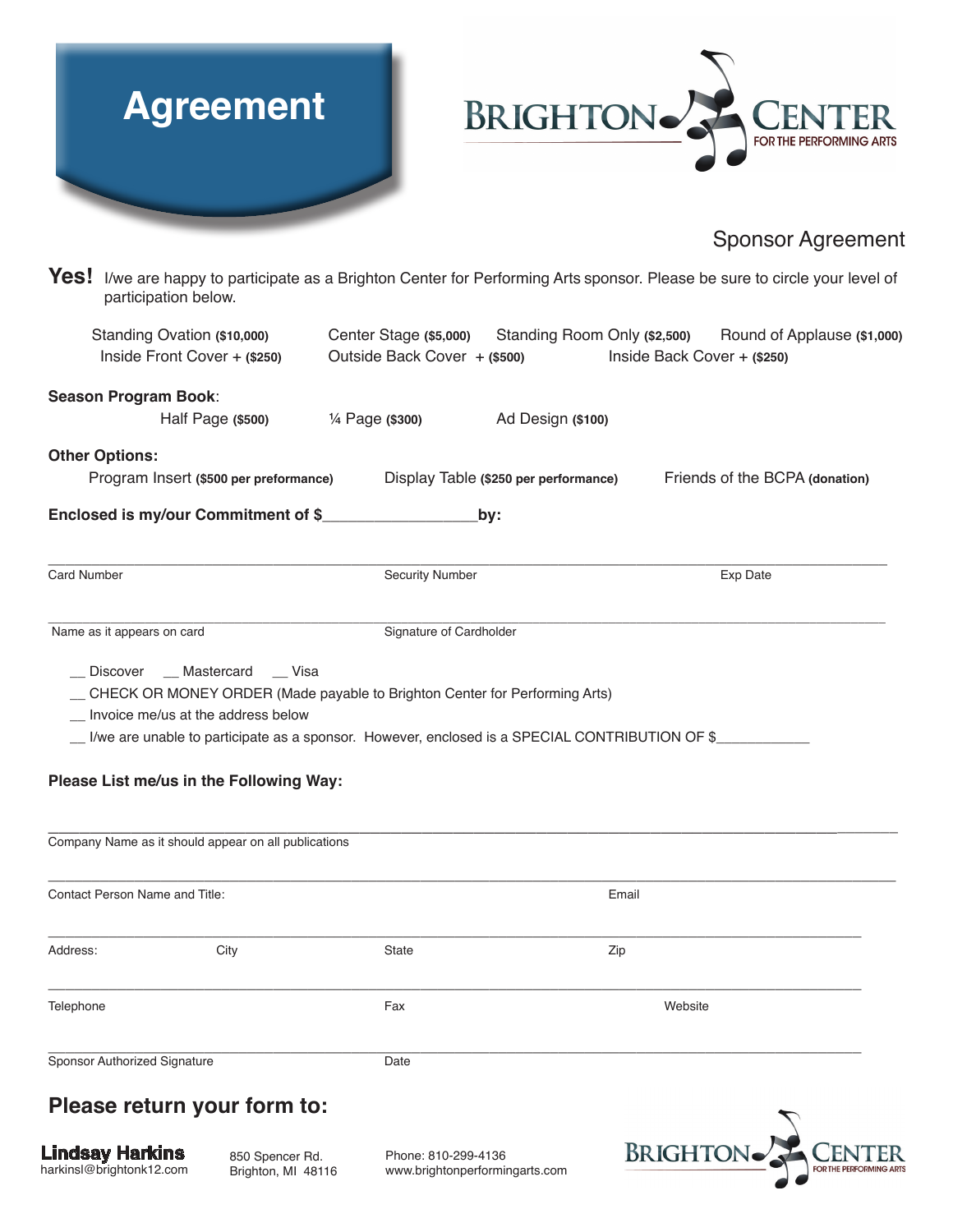



### Sponsor Agreement

Yes! I/we are happy to participate as a Brighton Center for Performing Arts sponsor. Please be sure to circle your level of participation below.

| Standing Ovation (\$10,000)<br>Inside Front Cover $+$ (\$250)                                                                         |                                       | Outside Back Cover + (\$500)                                                                                                                                                   |                                       | Inside Back Cover + (\$250) | Center Stage (\$5,000) Standing Room Only (\$2,500) Round of Applause (\$1,000) |
|---------------------------------------------------------------------------------------------------------------------------------------|---------------------------------------|--------------------------------------------------------------------------------------------------------------------------------------------------------------------------------|---------------------------------------|-----------------------------|---------------------------------------------------------------------------------|
| Season Program Book:                                                                                                                  |                                       |                                                                                                                                                                                |                                       |                             |                                                                                 |
|                                                                                                                                       | Half Page (\$500)                     | 1/ <sub>4</sub> Page (\$300)                                                                                                                                                   | Ad Design (\$100)                     |                             |                                                                                 |
| <b>Other Options:</b>                                                                                                                 |                                       |                                                                                                                                                                                |                                       |                             |                                                                                 |
| Program Insert (\$500 per preformance)                                                                                                |                                       |                                                                                                                                                                                | Display Table (\$250 per performance) |                             | Friends of the BCPA (donation)                                                  |
| Enclosed is my/our Commitment of \$                                                                                                   |                                       |                                                                                                                                                                                | by:                                   |                             |                                                                                 |
| Card Number                                                                                                                           |                                       | <b>Security Number</b>                                                                                                                                                         |                                       |                             | Exp Date                                                                        |
| Name as it appears on card                                                                                                            |                                       | Signature of Cardholder                                                                                                                                                        |                                       |                             |                                                                                 |
| Invoice me/us at the address below<br>Please List me/us in the Following Way:<br>Company Name as it should appear on all publications |                                       | _ CHECK OR MONEY ORDER (Made payable to Brighton Center for Performing Arts)<br>Live are unable to participate as a sponsor. However, enclosed is a SPECIAL CONTRIBUTION OF \$ |                                       |                             |                                                                                 |
| Contact Person Name and Title:                                                                                                        |                                       |                                                                                                                                                                                |                                       | Email                       |                                                                                 |
| Address:                                                                                                                              | City                                  | State                                                                                                                                                                          |                                       | Zip                         |                                                                                 |
| Telephone                                                                                                                             |                                       | Fax                                                                                                                                                                            |                                       | Website                     |                                                                                 |
| Sponsor Authorized Signature                                                                                                          |                                       | Date                                                                                                                                                                           |                                       |                             |                                                                                 |
| Please return your form to:                                                                                                           |                                       |                                                                                                                                                                                |                                       |                             |                                                                                 |
| Lindsay Harkins<br>harkinsl@brightonk12.com                                                                                           | 850 Spencer Rd.<br>Brighton, MI 48116 | Phone: 810-299-4136<br>www.brightonperformingarts.com                                                                                                                          |                                       | <b>BRIGHTON</b>             |                                                                                 |